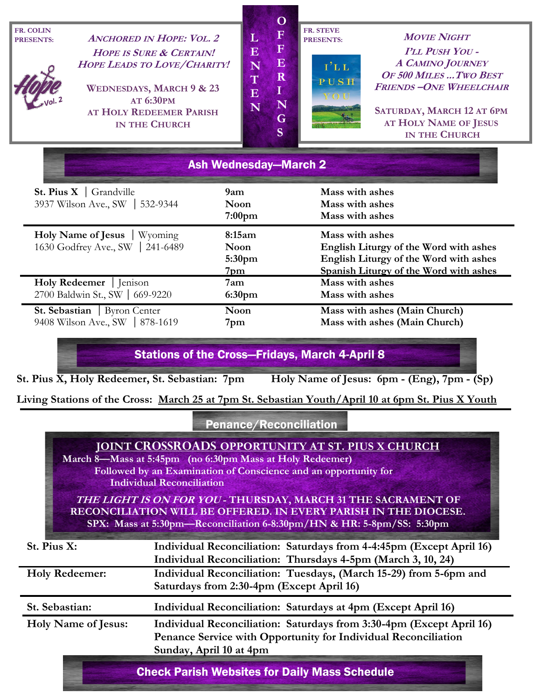| <b>FR. COLIN</b><br><b>PRESENTS:</b>                                     | <b>ANCHORED IN HOPE: VOL. 2</b><br><b>HOPE IS SURE &amp; CERTAIN!</b><br>HOPE LEADS TO LOVE/CHARITY!<br><b>WEDNESDAYS, MARCH 9 &amp; 23</b><br><b>AT 6:30PM</b><br>AT HOLY REDEEMER PARISH<br><b>IN THE CHURCH</b> | $\mathbf{O}$<br>$\mathbf F$<br>L<br>$\mathbf F$<br>$\overline{\mathbf{E}}$<br>$\mathbf E$<br>N<br>$\mathbf R$<br>T<br>$\bf{I}$<br>$\overline{\mathbf{E}}$<br>N<br>N<br>G<br>S | <b>FR. STEVE</b><br><b>PRESENTS:</b><br>1' L L<br>PUSH<br>YOU                                       | <b>MOVIE NIGHT</b><br><b>PLL PUSH YOU -</b><br><b>A CAMINO JOURNEY</b><br>OF 500 MILES  TWO BEST<br><b>FRIENDS-ONE WHEELCHAIR</b><br>SATURDAY, MARCH 12 AT 6PM<br>AT HOLY NAME OF JESUS<br><b>IN THE CHURCH</b> |
|--------------------------------------------------------------------------|--------------------------------------------------------------------------------------------------------------------------------------------------------------------------------------------------------------------|-------------------------------------------------------------------------------------------------------------------------------------------------------------------------------|-----------------------------------------------------------------------------------------------------|-----------------------------------------------------------------------------------------------------------------------------------------------------------------------------------------------------------------|
| <b>St. Pius X</b>   Grandville<br>3937 Wilson Ave., SW                   | 9am<br>532-9344                                                                                                                                                                                                    | <b>Ash Wednesday–March 2</b><br><b>Noon</b><br>7:00 <sub>pm</sub>                                                                                                             | Mass with ashes<br>Mass with ashes<br>Mass with ashes                                               |                                                                                                                                                                                                                 |
| <b>Holy Name of Jesus</b><br>Wyoming<br>1630 Godfrey Ave., SW   241-6489 |                                                                                                                                                                                                                    | 8:15am<br><b>Noon</b><br>5:30 <sub>pm</sub>                                                                                                                                   | Mass with ashes<br>English Liturgy of the Word with ashes<br>English Liturgy of the Word with ashes |                                                                                                                                                                                                                 |

**Holy Redeemer** | Jenison **7am Mass with ashes** 2700 Baldwin St., SW669-9220 **6:30pm Mass with ashes** 

**St. Sebastian Byron Center Noon Mass with ashes (Main Church)** 9408 Wilson Ave., SW | 878-1619 **7pm** Mass with ashes (Main Church)

Stations of the Cross—Fridays, March 4-April 8

**7pm Spanish Liturgy of the Word with ashes** 

**St. Pius X, Holy Redeemer, St. Sebastian: 7pm Holy Name of Jesus: 6pm - (Eng), 7pm - (Sp)** 

**Living Stations of the Cross: March 25 at 7pm St. Sebastian Youth/April 10 at 6pm St. Pius X Youth** 

Penance/Reconciliation

|                                                      | <b>JOINT CROSSROADS OPPORTUNITY AT ST. PIUS X CHURCH</b><br>March 8—Mass at 5:45pm (no 6:30pm Mass at Holy Redeemer)<br>Followed by an Examination of Conscience and an opportunity for<br><b>Individual Reconciliation</b> |  |  |  |  |
|------------------------------------------------------|-----------------------------------------------------------------------------------------------------------------------------------------------------------------------------------------------------------------------------|--|--|--|--|
|                                                      | <b>THE LIGHT IS ON FOR YOU - THURSDAY, MARCH 31 THE SACRAMENT OF</b><br>RECONCILIATION WILL BE OFFERED. IN EVERY PARISH IN THE DIOCESE.<br>SPX: Mass at 5:30pm—Reconciliation 6-8:30pm/HN & HR: 5-8pm/SS: 5:30pm            |  |  |  |  |
| St. Pius X:                                          | Individual Reconciliation: Saturdays from 4-4:45pm (Except April 16)<br>Individual Reconciliation: Thursdays 4-5pm (March 3, 10, 24)                                                                                        |  |  |  |  |
| <b>Holy Redeemer:</b>                                | Individual Reconciliation: Tuesdays, (March 15-29) from 5-6pm and<br>Saturdays from 2:30-4pm (Except April 16)                                                                                                              |  |  |  |  |
| St. Sebastian:                                       | Individual Reconciliation: Saturdays at 4pm (Except April 16)                                                                                                                                                               |  |  |  |  |
| <b>Holy Name of Jesus:</b>                           | Individual Reconciliation: Saturdays from 3:30-4pm (Except April 16)<br>Penance Service with Opportunity for Individual Reconciliation<br>Sunday, April 10 at 4pm                                                           |  |  |  |  |
| <b>Check Parish Websites for Daily Mass Schedule</b> |                                                                                                                                                                                                                             |  |  |  |  |